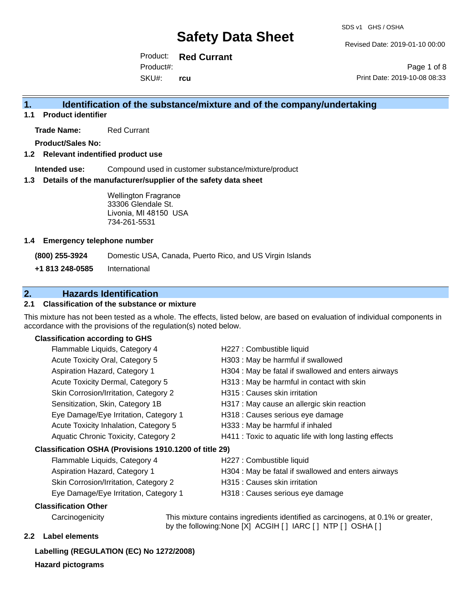Revised Date: 2019-01-10 00:00

Product: **Red Currant** SKU#: Product#: **rcu**

Page 1 of 8 Print Date: 2019-10-08 08:33

### **1. Identification of the substance/mixture and of the company/undertaking**

**1.1 Product identifier**

**Trade Name:** Red Currant

**Product/Sales No:**

### **1.2 Relevant indentified product use**

**Intended use:** Compound used in customer substance/mixture/product

#### **1.3 Details of the manufacturer/supplier of the safety data sheet**

Wellington Fragrance 33306 Glendale St. Livonia, MI 48150 USA 734-261-5531

#### **1.4 Emergency telephone number**

**(800) 255-3924** Domestic USA, Canada, Puerto Rico, and US Virgin Islands

**+1 813 248-0585** International

### **2. Hazards Identification**

### **2.1 Classification of the substance or mixture**

This mixture has not been tested as a whole. The effects, listed below, are based on evaluation of individual components in accordance with the provisions of the regulation(s) noted below.

### **Classification according to GHS**

| Flammable Liquids, Category 4                          | H227 : Combustible liquid                                    |
|--------------------------------------------------------|--------------------------------------------------------------|
| Acute Toxicity Oral, Category 5                        | H303 : May be harmful if swallowed                           |
| Aspiration Hazard, Category 1                          | H304 : May be fatal if swallowed and enters airways          |
| Acute Toxicity Dermal, Category 5                      | H313 : May be harmful in contact with skin                   |
| Skin Corrosion/Irritation, Category 2                  | H315 : Causes skin irritation                                |
| Sensitization, Skin, Category 1B                       | H317 : May cause an allergic skin reaction                   |
| Eye Damage/Eye Irritation, Category 1                  | H318 : Causes serious eye damage                             |
| Acute Toxicity Inhalation, Category 5                  | H333: May be harmful if inhaled                              |
| Aquatic Chronic Toxicity, Category 2                   | H411 : Toxic to aquatic life with long lasting effects       |
| Classification OSHA (Provisions 1910.1200 of title 29) |                                                              |
| Flammable Liquids, Category 4                          | H227 : Combustible liquid                                    |
| Acniration Hazard, Category 1                          | $H304 \cdot M_{21}$ he fatal if swallowed and enters airways |

- Skin Corrosion/Irritation, Category 2 **H315**: Causes skin irritation
- Aspiration Hazard, Category 1 **H304** : May be fatal if swallowed and enters airways
	-
- 
- Eye Damage/Eye Irritation, Category 1 H318 : Causes serious eye damage

### **Classification Other**

Carcinogenicity This mixture contains ingredients identified as carcinogens, at 0.1% or greater, by the following:None [X] ACGIH [ ] IARC [ ] NTP [ ] OSHA [ ]

### **2.2 Label elements**

### **Labelling (REGULATION (EC) No 1272/2008)**

**Hazard pictograms**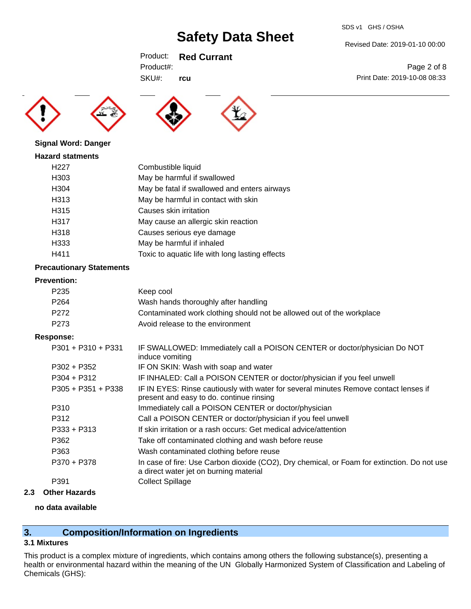SDS v1 GHS / OSHA

Revised Date: 2019-01-10 00:00

Print Date: 2019-10-08 08:33

Page 2 of 8

Product: **Red Currant**

SKU#: Product#:

**rcu**





**Signal Word: Danger**

### **Hazard statments**

| H <sub>22</sub> 7 | Combustible liquid                              |
|-------------------|-------------------------------------------------|
| H <sub>303</sub>  | May be harmful if swallowed                     |
| H <sub>304</sub>  | May be fatal if swallowed and enters airways    |
| H313              | May be harmful in contact with skin             |
| H315              | Causes skin irritation                          |
| H317              | May cause an allergic skin reaction             |
| H318              | Causes serious eye damage                       |
| H333              | May be harmful if inhaled                       |
| H411              | Toxic to aquatic life with long lasting effects |

### **Precautionary Statements**

### **Prevention:**

| P <sub>2</sub> 35 | Keep cool                                                             |
|-------------------|-----------------------------------------------------------------------|
| P <sub>264</sub>  | Wash hands thoroughly after handling                                  |
| P272              | Contaminated work clothing should not be allowed out of the workplace |
| P273              | Avoid release to the environment                                      |
|                   |                                                                       |

### **Response:**

| $P301 + P310 + P331$ | IF SWALLOWED: Immediately call a POISON CENTER or doctor/physician Do NOT<br>induce vomiting                                          |
|----------------------|---------------------------------------------------------------------------------------------------------------------------------------|
| $P302 + P352$        | IF ON SKIN: Wash with soap and water                                                                                                  |
| $P304 + P312$        | IF INHALED: Call a POISON CENTER or doctor/physician if you feel unwell                                                               |
| $P305 + P351 + P338$ | IF IN EYES: Rinse cautiously with water for several minutes Remove contact lenses if<br>present and easy to do. continue rinsing      |
| P310                 | Immediately call a POISON CENTER or doctor/physician                                                                                  |
| P312                 | Call a POISON CENTER or doctor/physician if you feel unwell                                                                           |
| $P333 + P313$        | If skin irritation or a rash occurs: Get medical advice/attention                                                                     |
| P362                 | Take off contaminated clothing and wash before reuse                                                                                  |
| P363                 | Wash contaminated clothing before reuse                                                                                               |
| P370 + P378          | In case of fire: Use Carbon dioxide (CO2), Dry chemical, or Foam for extinction. Do not use<br>a direct water jet on burning material |
| P391                 | <b>Collect Spillage</b>                                                                                                               |
|                      |                                                                                                                                       |

### **2.3 Other Hazards**

### **no data available**

# **3. Composition/Information on Ingredients**

### **3.1 Mixtures**

This product is a complex mixture of ingredients, which contains among others the following substance(s), presenting a health or environmental hazard within the meaning of the UN Globally Harmonized System of Classification and Labeling of Chemicals (GHS):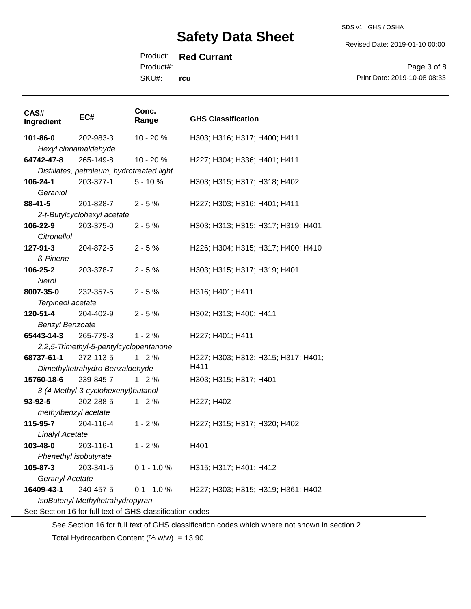SDS v1 GHS / OSHA

Revised Date: 2019-01-10 00:00

Product#:

SKU#: **rcu**

Page 3 of 8 Print Date: 2019-10-08 08:33

| CAS#<br>Ingredient                                                                          | EC#                                        | Conc.<br>Range | <b>GHS Classification</b>           |
|---------------------------------------------------------------------------------------------|--------------------------------------------|----------------|-------------------------------------|
| 101-86-0                                                                                    | 202-983-3                                  | 10 - 20 %      | H303; H316; H317; H400; H411        |
|                                                                                             | Hexyl cinnamaldehyde                       |                |                                     |
| 64742-47-8                                                                                  | 265-149-8                                  | 10 - 20 %      | H227; H304; H336; H401; H411        |
|                                                                                             | Distillates, petroleum, hydrotreated light |                |                                     |
| 106-24-1                                                                                    | 203-377-1                                  | $5 - 10%$      | H303; H315; H317; H318; H402        |
| Geraniol                                                                                    |                                            |                |                                     |
| 88-41-5                                                                                     | 201-828-7                                  | $2 - 5%$       | H227; H303; H316; H401; H411        |
|                                                                                             | 2-t-Butylcyclohexyl acetate                |                |                                     |
| 106-22-9                                                                                    | 203-375-0                                  | $2 - 5%$       | H303; H313; H315; H317; H319; H401  |
| Citronellol                                                                                 |                                            |                |                                     |
| 127-91-3                                                                                    | 204-872-5                                  | $2 - 5%$       | H226; H304; H315; H317; H400; H410  |
| ß-Pinene                                                                                    |                                            |                |                                     |
| 106-25-2                                                                                    | 203-378-7                                  | $2 - 5%$       | H303; H315; H317; H319; H401        |
| Nerol                                                                                       |                                            |                |                                     |
| 8007-35-0                                                                                   | 232-357-5                                  | $2 - 5%$       | H316; H401; H411                    |
| Terpineol acetate                                                                           |                                            |                |                                     |
| 120-51-4                                                                                    | 204-402-9                                  | $2 - 5%$       | H302; H313; H400; H411              |
| <b>Benzyl Benzoate</b>                                                                      |                                            |                |                                     |
| 65443-14-3                                                                                  | 265-779-3                                  | $1 - 2%$       | H227; H401; H411                    |
|                                                                                             | 2,2,5-Trimethyl-5-pentylcyclopentanone     |                |                                     |
| 68737-61-1                                                                                  | 272-113-5                                  | $1 - 2%$       | H227; H303; H313; H315; H317; H401; |
| H411<br>Dimethyltetrahydro Benzaldehyde                                                     |                                            |                |                                     |
| 15760-18-6                                                                                  | 239-845-7                                  | $1 - 2%$       | H303; H315; H317; H401              |
|                                                                                             | 3-(4-Methyl-3-cyclohexenyl)butanol         |                |                                     |
| 93-92-5                                                                                     | 202-288-5                                  | $1 - 2%$       | H227; H402                          |
| methylbenzyl acetate                                                                        |                                            |                |                                     |
| 115-95-7                                                                                    | 204-116-4                                  | $1 - 2%$       | H227; H315; H317; H320; H402        |
| <b>Linalyl Acetate</b>                                                                      |                                            |                |                                     |
| 103-48-0                                                                                    | 203-116-1                                  | $1 - 2%$       | H401                                |
| Phenethyl isobutyrate                                                                       |                                            |                |                                     |
| 105-87-3                                                                                    | 203-341-5                                  | $0.1 - 1.0 %$  | H315; H317; H401; H412              |
| Geranyl Acetate                                                                             |                                            |                |                                     |
| 16409-43-1                                                                                  | 240-457-5                                  | $0.1 - 1.0 %$  | H227; H303; H315; H319; H361; H402  |
| IsoButenyl Methyltetrahydropyran                                                            |                                            |                |                                     |
| See Section 16 for full text of GHS classification codes                                    |                                            |                |                                     |
| See Section 16 for full text of GHS classification codes which where not shown in section 2 |                                            |                |                                     |

Total Hydrocarbon Content (%  $w/w$ ) = 13.90

### Product: **Red Currant**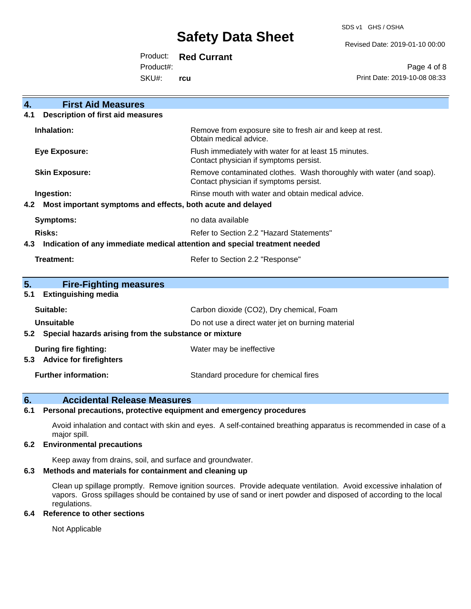SDS v1 GHS / OSHA

Revised Date: 2019-01-10 00:00

Product: **Red Currant**

Product#:

SKU#: **rcu**

Page 4 of 8 Print Date: 2019-10-08 08:33

| $\overline{4}$ .<br><b>First Aid Measures</b>                                     |                                                                                                               |  |
|-----------------------------------------------------------------------------------|---------------------------------------------------------------------------------------------------------------|--|
| <b>Description of first aid measures</b><br>4.1                                   |                                                                                                               |  |
| Inhalation:                                                                       | Remove from exposure site to fresh air and keep at rest.<br>Obtain medical advice.                            |  |
| <b>Eye Exposure:</b>                                                              | Flush immediately with water for at least 15 minutes.<br>Contact physician if symptoms persist.               |  |
| <b>Skin Exposure:</b>                                                             | Remove contaminated clothes. Wash thoroughly with water (and soap).<br>Contact physician if symptoms persist. |  |
| Ingestion:                                                                        | Rinse mouth with water and obtain medical advice.                                                             |  |
| Most important symptoms and effects, both acute and delayed<br>4.2                |                                                                                                               |  |
| <b>Symptoms:</b>                                                                  | no data available                                                                                             |  |
| Risks:                                                                            | Refer to Section 2.2 "Hazard Statements"                                                                      |  |
| Indication of any immediate medical attention and special treatment needed<br>4.3 |                                                                                                               |  |
| <b>Treatment:</b>                                                                 | Refer to Section 2.2 "Response"                                                                               |  |
|                                                                                   |                                                                                                               |  |
| 5.<br><b>Fire-Fighting measures</b>                                               |                                                                                                               |  |
| <b>Extinguishing media</b><br>5.1                                                 |                                                                                                               |  |
| Suitable:                                                                         | Carbon dioxide (CO2), Dry chemical, Foam                                                                      |  |
| Unsuitable                                                                        | Do not use a direct water jet on burning material                                                             |  |
| 5.2                                                                               | Special hazards arising from the substance or mixture                                                         |  |
| During fire fighting:<br><b>Advice for firefighters</b><br>5.3                    | Water may be ineffective                                                                                      |  |
| <b>Further information:</b>                                                       | Standard procedure for chemical fires                                                                         |  |

### **6. Accidental Release Measures**

### **6.1 Personal precautions, protective equipment and emergency procedures**

Avoid inhalation and contact with skin and eyes. A self-contained breathing apparatus is recommended in case of a major spill.

### **6.2 Environmental precautions**

Keep away from drains, soil, and surface and groundwater.

### **6.3 Methods and materials for containment and cleaning up**

Clean up spillage promptly. Remove ignition sources. Provide adequate ventilation. Avoid excessive inhalation of vapors. Gross spillages should be contained by use of sand or inert powder and disposed of according to the local regulations.

### **6.4 Reference to other sections**

Not Applicable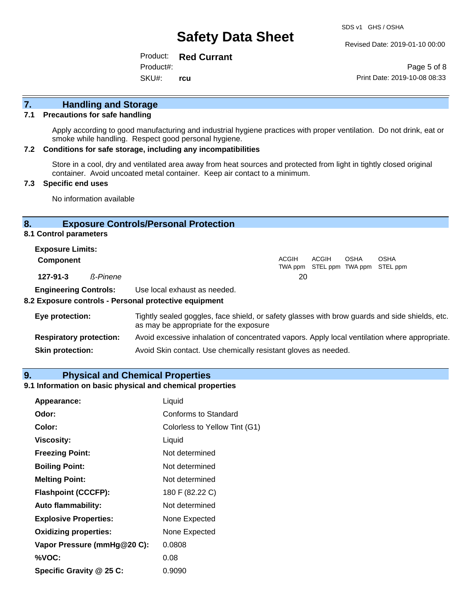Revised Date: 2019-01-10 00:00

Product: **Red Currant** SKU#: Product#: **rcu**

Page 5 of 8 Print Date: 2019-10-08 08:33

# **7. Handling and Storage**

### **7.1 Precautions for safe handling**

Apply according to good manufacturing and industrial hygiene practices with proper ventilation. Do not drink, eat or smoke while handling. Respect good personal hygiene.

#### **7.2 Conditions for safe storage, including any incompatibilities**

Store in a cool, dry and ventilated area away from heat sources and protected from light in tightly closed original container. Avoid uncoated metal container. Keep air contact to a minimum.

### **7.3 Specific end uses**

No information available

### **8. Exposure Controls/Personal Protection**

### **8.1 Control parameters**

| <b>Exposure Limits:</b>      |          |                              |       |       |             |                                           |
|------------------------------|----------|------------------------------|-------|-------|-------------|-------------------------------------------|
| <b>Component</b>             |          |                              | ACGIH | ACGIH | <b>OSHA</b> | OSHA<br>TWA ppm STEL ppm TWA ppm STEL ppm |
| 127-91-3                     | ß-Pinene |                              | 20    |       |             |                                           |
| <b>Engineering Controls:</b> |          | Use local exhaust as needed. |       |       |             |                                           |

### **8.2 Exposure controls - Personal protective equipment**

| Eye protection:                | Tightly sealed goggles, face shield, or safety glasses with brow guards and side shields, etc.<br>as may be appropriate for the exposure |
|--------------------------------|------------------------------------------------------------------------------------------------------------------------------------------|
| <b>Respiratory protection:</b> | Avoid excessive inhalation of concentrated vapors. Apply local ventilation where appropriate.                                            |
| <b>Skin protection:</b>        | Avoid Skin contact. Use chemically resistant gloves as needed.                                                                           |

### **9. Physical and Chemical Properties**

### **9.1 Information on basic physical and chemical properties**

| Appearance:                  | Liquid                        |
|------------------------------|-------------------------------|
| Odor:                        | <b>Conforms to Standard</b>   |
| Color:                       | Colorless to Yellow Tint (G1) |
| <b>Viscosity:</b>            | Liquid                        |
| <b>Freezing Point:</b>       | Not determined                |
| <b>Boiling Point:</b>        | Not determined                |
| <b>Melting Point:</b>        | Not determined                |
| <b>Flashpoint (CCCFP):</b>   | 180 F (82.22 C)               |
| <b>Auto flammability:</b>    | Not determined                |
| <b>Explosive Properties:</b> | None Expected                 |
| <b>Oxidizing properties:</b> | None Expected                 |
| Vapor Pressure (mmHg@20 C):  | 0.0808                        |
| %VOC:                        | 0.08                          |
| Specific Gravity @ 25 C:     | 0.9090                        |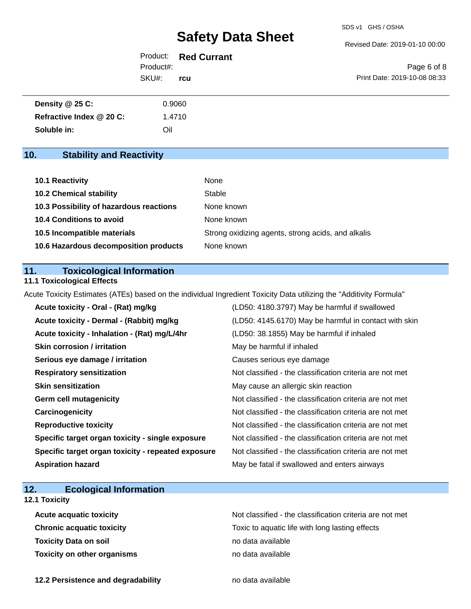Revised Date: 2019-01-10 00:00

|           | Product: Red Currant |                              |
|-----------|----------------------|------------------------------|
| Product#: |                      | Page 6 of 8                  |
| SKU#:     | rcu                  | Print Date: 2019-10-08 08:33 |
|           |                      |                              |

| Density @ 25 C:          | 0.9060 |
|--------------------------|--------|
| Refractive Index @ 20 C: | 1.4710 |
| Soluble in:              | Oil    |

## **10. Stability and Reactivity**

| <b>10.1 Reactivity</b>                  | None                                               |
|-----------------------------------------|----------------------------------------------------|
| <b>10.2 Chemical stability</b>          | Stable                                             |
| 10.3 Possibility of hazardous reactions | None known                                         |
| 10.4 Conditions to avoid                | None known                                         |
| 10.5 Incompatible materials             | Strong oxidizing agents, strong acids, and alkalis |
| 10.6 Hazardous decomposition products   | None known                                         |

### **11. Toxicological Information**

### **11.1 Toxicological Effects**

Acute Toxicity Estimates (ATEs) based on the individual Ingredient Toxicity Data utilizing the "Additivity Formula"

| Acute toxicity - Oral - (Rat) mg/kg                | (LD50: 4180.3797) May be harmful if swallowed            |
|----------------------------------------------------|----------------------------------------------------------|
| Acute toxicity - Dermal - (Rabbit) mg/kg           | (LD50: 4145.6170) May be harmful in contact with skin    |
| Acute toxicity - Inhalation - (Rat) mg/L/4hr       | (LD50: 38.1855) May be harmful if inhaled                |
| <b>Skin corrosion / irritation</b>                 | May be harmful if inhaled                                |
| Serious eye damage / irritation                    | Causes serious eye damage                                |
| <b>Respiratory sensitization</b>                   | Not classified - the classification criteria are not met |
| <b>Skin sensitization</b>                          | May cause an allergic skin reaction                      |
| <b>Germ cell mutagenicity</b>                      | Not classified - the classification criteria are not met |
| Carcinogenicity                                    | Not classified - the classification criteria are not met |
| <b>Reproductive toxicity</b>                       | Not classified - the classification criteria are not met |
| Specific target organ toxicity - single exposure   | Not classified - the classification criteria are not met |
| Specific target organ toxicity - repeated exposure | Not classified - the classification criteria are not met |
| <b>Aspiration hazard</b>                           | May be fatal if swallowed and enters airways             |

## **12. Ecological Information**

### **12.1 Toxicity**

| <b>Acute acquatic toxicity</b>     | Not classified - the classification criteria are not met |
|------------------------------------|----------------------------------------------------------|
| <b>Chronic acquatic toxicity</b>   | Toxic to aquatic life with long lasting effects          |
| <b>Toxicity Data on soil</b>       | no data available                                        |
| <b>Toxicity on other organisms</b> | no data available                                        |

**12.2 Persistence and degradability no data available**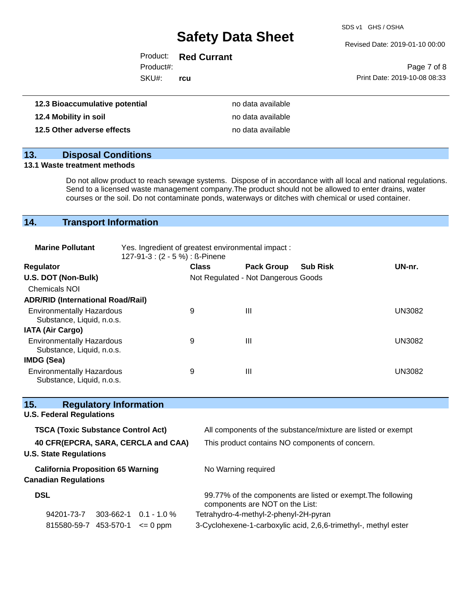SDS v1 GHS / OSHA

Revised Date: 2019-01-10 00:00

| umulative potential |           | no data available    |                              |
|---------------------|-----------|----------------------|------------------------------|
|                     | SKU#:     | rcu                  | Print Date: 2019-10-08 08:33 |
|                     | Product#: |                      | Page 7 of 8                  |
|                     |           | Product: Red Currant |                              |

| 12.3 Bioaccumulative potential | no data available |
|--------------------------------|-------------------|
| 12.4 Mobility in soil          | no data available |
| 12.5 Other adverse effects     | no data available |

# **13. Disposal Conditions**

### **13.1 Waste treatment methods**

Do not allow product to reach sewage systems. Dispose of in accordance with all local and national regulations. Send to a licensed waste management company.The product should not be allowed to enter drains, water courses or the soil. Do not contaminate ponds, waterways or ditches with chemical or used container.

### **14. Transport Information**

| <b>Marine Pollutant</b>                                       | Yes. Ingredient of greatest environmental impact:<br>127-91-3 : (2 - 5 %) : ß-Pinene |              |                                     |                 |               |
|---------------------------------------------------------------|--------------------------------------------------------------------------------------|--------------|-------------------------------------|-----------------|---------------|
| <b>Regulator</b>                                              |                                                                                      | <b>Class</b> | <b>Pack Group</b>                   | <b>Sub Risk</b> | UN-nr.        |
| U.S. DOT (Non-Bulk)                                           |                                                                                      |              | Not Regulated - Not Dangerous Goods |                 |               |
| <b>Chemicals NOI</b>                                          |                                                                                      |              |                                     |                 |               |
| <b>ADR/RID (International Road/Rail)</b>                      |                                                                                      |              |                                     |                 |               |
| <b>Environmentally Hazardous</b><br>Substance, Liquid, n.o.s. |                                                                                      | 9            | Ш                                   |                 | <b>UN3082</b> |
| <b>IATA (Air Cargo)</b>                                       |                                                                                      |              |                                     |                 |               |
| <b>Environmentally Hazardous</b><br>Substance, Liquid, n.o.s. |                                                                                      | 9            | Ш                                   |                 | <b>UN3082</b> |
| IMDG (Sea)                                                    |                                                                                      |              |                                     |                 |               |
| <b>Environmentally Hazardous</b><br>Substance, Liquid, n.o.s. |                                                                                      | 9            | Ш                                   |                 | <b>UN3082</b> |

| <b>Regulatory Information</b><br>15.      |                                                                                                 |
|-------------------------------------------|-------------------------------------------------------------------------------------------------|
| <b>U.S. Federal Regulations</b>           |                                                                                                 |
| <b>TSCA (Toxic Substance Control Act)</b> | All components of the substance/mixture are listed or exempt                                    |
| 40 CFR(EPCRA, SARA, CERCLA and CAA)       | This product contains NO components of concern.                                                 |
| <b>U.S. State Regulations</b>             |                                                                                                 |
| <b>California Proposition 65 Warning</b>  | No Warning required                                                                             |
| <b>Canadian Regulations</b>               |                                                                                                 |
| <b>DSL</b>                                | 99.77% of the components are listed or exempt. The following<br>components are NOT on the List: |
| 94201-73-7<br>303-662-1<br>$0.1 - 1.0 \%$ | Tetrahydro-4-methyl-2-phenyl-2H-pyran                                                           |
| 815580-59-7 453-570-1<br>$= 0$ ppm        | 3-Cyclohexene-1-carboxylic acid, 2,6,6-trimethyl-, methyl ester                                 |